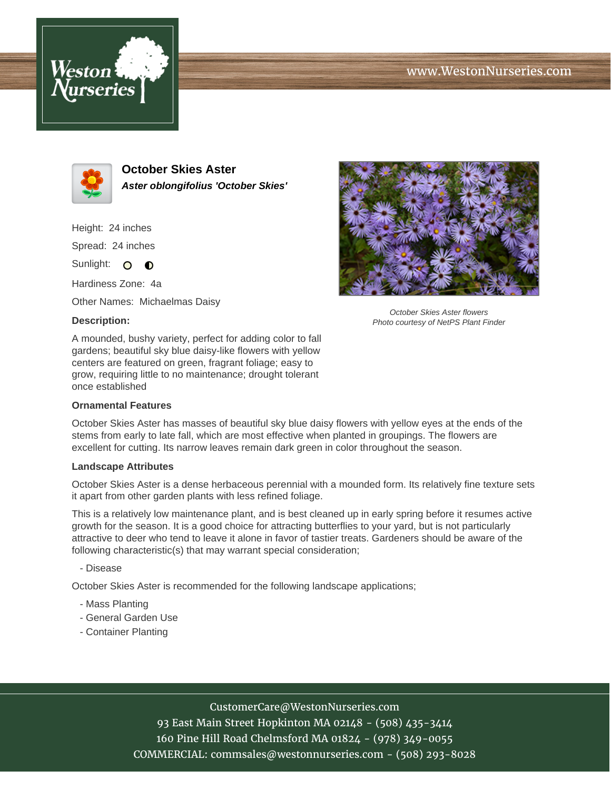# www.WestonNurseries.com





**October Skies Aster Aster oblongifolius 'October Skies'**

Height: 24 inches Spread: 24 inches

Sunlight: O **O** 

Hardiness Zone: 4a

Other Names: Michaelmas Daisy

#### **Description:**



October Skies Aster flowers Photo courtesy of NetPS Plant Finder

A mounded, bushy variety, perfect for adding color to fall gardens; beautiful sky blue daisy-like flowers with yellow centers are featured on green, fragrant foliage; easy to grow, requiring little to no maintenance; drought tolerant once established

#### **Ornamental Features**

October Skies Aster has masses of beautiful sky blue daisy flowers with yellow eyes at the ends of the stems from early to late fall, which are most effective when planted in groupings. The flowers are excellent for cutting. Its narrow leaves remain dark green in color throughout the season.

#### **Landscape Attributes**

October Skies Aster is a dense herbaceous perennial with a mounded form. Its relatively fine texture sets it apart from other garden plants with less refined foliage.

This is a relatively low maintenance plant, and is best cleaned up in early spring before it resumes active growth for the season. It is a good choice for attracting butterflies to your yard, but is not particularly attractive to deer who tend to leave it alone in favor of tastier treats. Gardeners should be aware of the following characteristic(s) that may warrant special consideration;

- Disease

October Skies Aster is recommended for the following landscape applications;

- Mass Planting
- General Garden Use
- Container Planting

## CustomerCare@WestonNurseries.com

93 East Main Street Hopkinton MA 02148 - (508) 435-3414 160 Pine Hill Road Chelmsford MA 01824 - (978) 349-0055 COMMERCIAL: commsales@westonnurseries.com - (508) 293-8028